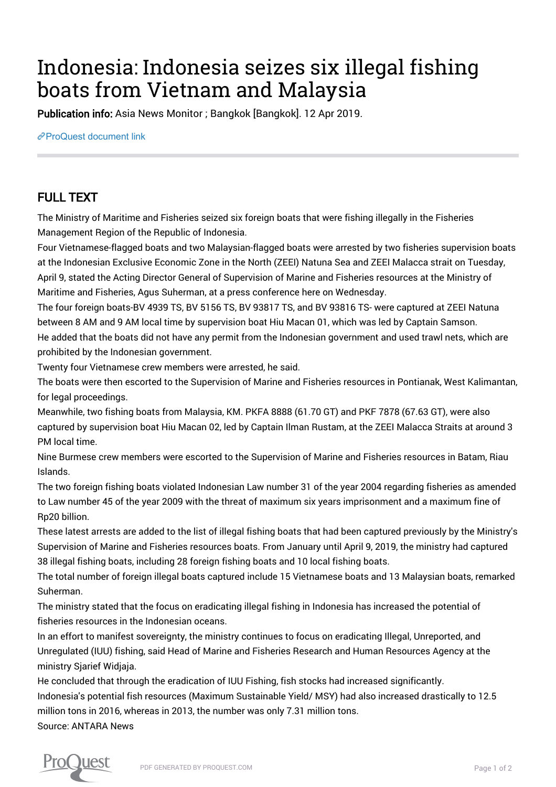## Indonesia: Indonesia seizes six illegal fishing boats from Vietnam and Malaysia

Publication info: Asia News Monitor ; Bangkok [Bangkok]. 12 Apr 2019.

[ProQuest document link](http://132.174.250.227/newspapers/indonesia-seizes-six-illegal-fishing-boats/docview/2207230606/se-2?accountid=8394)

## FULL TEXT

The Ministry of Maritime and Fisheries seized six foreign boats that were fishing illegally in the Fisheries Management Region of the Republic of Indonesia.

Four Vietnamese-flagged boats and two Malaysian-flagged boats were arrested by two fisheries supervision boats at the Indonesian Exclusive Economic Zone in the North (ZEEI) Natuna Sea and ZEEI Malacca strait on Tuesday, April 9, stated the Acting Director General of Supervision of Marine and Fisheries resources at the Ministry of Maritime and Fisheries, Agus Suherman, at a press conference here on Wednesday.

The four foreign boats-BV 4939 TS, BV 5156 TS, BV 93817 TS, and BV 93816 TS- were captured at ZEEI Natuna between 8 AM and 9 AM local time by supervision boat Hiu Macan 01, which was led by Captain Samson. He added that the boats did not have any permit from the Indonesian government and used trawl nets, which are prohibited by the Indonesian government.

Twenty four Vietnamese crew members were arrested, he said.

The boats were then escorted to the Supervision of Marine and Fisheries resources in Pontianak, West Kalimantan, for legal proceedings.

Meanwhile, two fishing boats from Malaysia, KM. PKFA 8888 (61.70 GT) and PKF 7878 (67.63 GT), were also captured by supervision boat Hiu Macan 02, led by Captain Ilman Rustam, at the ZEEI Malacca Straits at around 3 PM local time.

Nine Burmese crew members were escorted to the Supervision of Marine and Fisheries resources in Batam, Riau Islands.

The two foreign fishing boats violated Indonesian Law number 31 of the year 2004 regarding fisheries as amended to Law number 45 of the year 2009 with the threat of maximum six years imprisonment and a maximum fine of Rp20 billion.

These latest arrests are added to the list of illegal fishing boats that had been captured previously by the Ministry's Supervision of Marine and Fisheries resources boats. From January until April 9, 2019, the ministry had captured 38 illegal fishing boats, including 28 foreign fishing boats and 10 local fishing boats.

The total number of foreign illegal boats captured include 15 Vietnamese boats and 13 Malaysian boats, remarked Suherman.

The ministry stated that the focus on eradicating illegal fishing in Indonesia has increased the potential of fisheries resources in the Indonesian oceans.

In an effort to manifest sovereignty, the ministry continues to focus on eradicating Illegal, Unreported, and Unregulated (IUU) fishing, said Head of Marine and Fisheries Research and Human Resources Agency at the ministry Sjarief Widjaja.

He concluded that through the eradication of IUU Fishing, fish stocks had increased significantly. Indonesia's potential fish resources (Maximum Sustainable Yield/ MSY) had also increased drastically to 12.5 million tons in 2016, whereas in 2013, the number was only 7.31 million tons. Source: ANTARA News